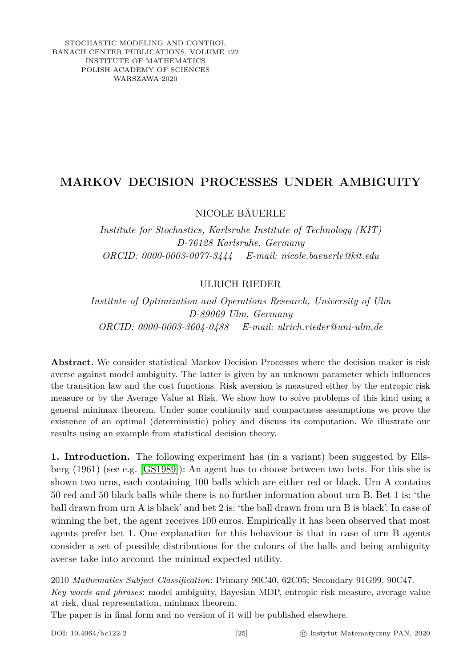STOCHASTIC MODELING AND CONTROL BANACH CENTER PUBLICATIONS, VOLUME 122 INSTITUTE OF MATHEMATICS POLISH ACADEMY OF SCIENCES WARSZAWA 2020

## **MARKOV DECISION PROCESSES UNDER AMBIGUITY**

NICOLE BÄUERLE

*Institute for Stochastics, Karlsruhe Institute of Technology (KIT) D-76128 Karlsruhe, Germany ORCID: 0000-0003-0077-3444 E-mail: nicole.baeuerle@kit.edu*

## ULRICH RIEDER

*Institute of Optimization and Operations Research, University of Ulm D-89069 Ulm, Germany ORCID: 0000-0003-3604-0488 E-mail: ulrich.rieder@uni-ulm.de*

**Abstract.** We consider statistical Markov Decision Processes where the decision maker is risk averse against model ambiguity. The latter is given by an unknown parameter which influences the transition law and the cost functions. Risk aversion is measured either by the entropic risk measure or by the Average Value at Risk. We show how to solve problems of this kind using a general minimax theorem. Under some continuity and compactness assumptions we prove the existence of an optimal (deterministic) policy and discuss its computation. We illustrate our results using an example from statistical decision theory.

**1. Introduction.** The following experiment has (in a variant) been suggested by Ellsberg (1961) (see e.g. [\[GS1989\]](#page-14-0)): An agent has to choose between two bets. For this she is shown two urns, each containing 100 balls which are either red or black. Urn A contains 50 red and 50 black balls while there is no further information about urn B. Bet 1 is: 'the ball drawn from urn A is black' and bet 2 is: 'the ball drawn from urn B is black'. In case of winning the bet, the agent receives 100 euros. Empirically it has been observed that most agents prefer bet 1. One explanation for this behaviour is that in case of urn B agents consider a set of possible distributions for the colours of the balls and being ambiguity averse take into account the minimal expected utility.

2010 *Mathematics Subject Classification*: Primary 90C40, 62C05; Secondary 91G99, 90C47. *Key words and phrases*: model ambiguity, Bayesian MDP, entropic risk measure, average value at risk, dual representation, minimax theorem.

The paper is in final form and no version of it will be published elsewhere.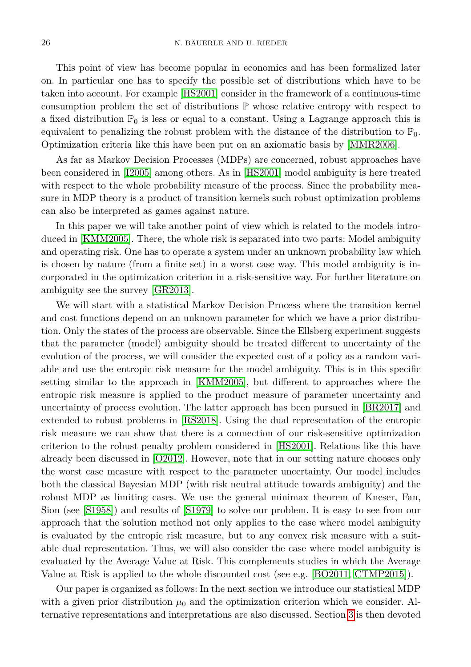This point of view has become popular in economics and has been formalized later on. In particular one has to specify the possible set of distributions which have to be taken into account. For example [\[HS2001\]](#page-14-1) consider in the framework of a continuous-time consumption problem the set of distributions  $\mathbb P$  whose relative entropy with respect to a fixed distribution  $\mathbb{P}_0$  is less or equal to a constant. Using a Lagrange approach this is equivalent to penalizing the robust problem with the distance of the distribution to  $\mathbb{P}_0$ . Optimization criteria like this have been put on an axiomatic basis by [\[MMR2006\]](#page-14-2).

As far as Markov Decision Processes (MDPs) are concerned, robust approaches have been considered in [\[I2005\]](#page-14-3) among others. As in [\[HS2001\]](#page-14-1) model ambiguity is here treated with respect to the whole probability measure of the process. Since the probability measure in MDP theory is a product of transition kernels such robust optimization problems can also be interpreted as games against nature.

In this paper we will take another point of view which is related to the models introduced in [\[KMM2005\]](#page-14-4). There, the whole risk is separated into two parts: Model ambiguity and operating risk. One has to operate a system under an unknown probability law which is chosen by nature (from a finite set) in a worst case way. This model ambiguity is incorporated in the optimization criterion in a risk-sensitive way. For further literature on ambiguity see the survey [\[GR2013\]](#page-14-5).

We will start with a statistical Markov Decision Process where the transition kernel and cost functions depend on an unknown parameter for which we have a prior distribution. Only the states of the process are observable. Since the Ellsberg experiment suggests that the parameter (model) ambiguity should be treated different to uncertainty of the evolution of the process, we will consider the expected cost of a policy as a random variable and use the entropic risk measure for the model ambiguity. This is in this specific setting similar to the approach in [\[KMM2005\]](#page-14-4), but different to approaches where the entropic risk measure is applied to the product measure of parameter uncertainty and uncertainty of process evolution. The latter approach has been pursued in [\[BR2017\]](#page-14-6) and extended to robust problems in [\[RS2018\]](#page-14-7). Using the dual representation of the entropic risk measure we can show that there is a connection of our risk-sensitive optimization criterion to the robust penalty problem considered in [\[HS2001\]](#page-14-1). Relations like this have already been discussed in [\[O2012\]](#page-14-8). However, note that in our setting nature chooses only the worst case measure with respect to the parameter uncertainty. Our model includes both the classical Bayesian MDP (with risk neutral attitude towards ambiguity) and the robust MDP as limiting cases. We use the general minimax theorem of Kneser, Fan, Sion (see [\[S1958\]](#page-14-9)) and results of [\[S1979\]](#page-14-10) to solve our problem. It is easy to see from our approach that the solution method not only applies to the case where model ambiguity is evaluated by the entropic risk measure, but to any convex risk measure with a suitable dual representation. Thus, we will also consider the case where model ambiguity is evaluated by the Average Value at Risk. This complements studies in which the Average Value at Risk is applied to the whole discounted cost (see e.g. [\[BO2011,](#page-13-0) [CTMP2015\]](#page-14-11)).

Our paper is organized as follows: In the next section we introduce our statistical MDP with a given prior distribution  $\mu_0$  and the optimization criterion which we consider. Alternative representations and interpretations are also discussed. Section [3](#page-5-0) is then devoted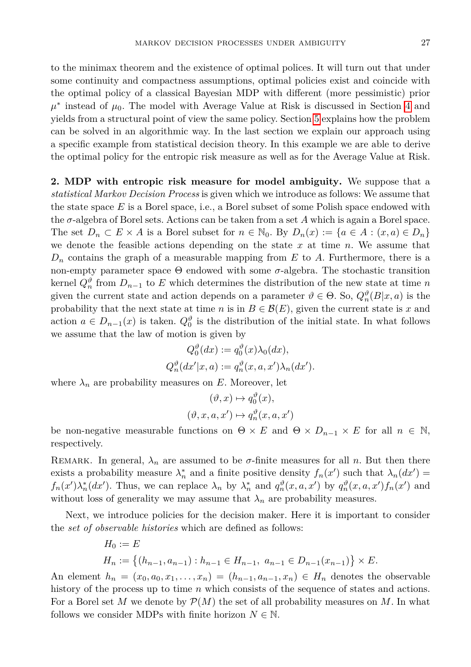to the minimax theorem and the existence of optimal polices. It will turn out that under some continuity and compactness assumptions, optimal policies exist and coincide with the optimal policy of a classical Bayesian MDP with different (more pessimistic) prior  $\mu^*$  instead of  $\mu_0$ . The model with Average Value at Risk is discussed in Section [4](#page-8-0) and yields from a structural point of view the same policy. Section [5](#page-9-0) explains how the problem can be solved in an algorithmic way. In the last section we explain our approach using a specific example from statistical decision theory. In this example we are able to derive the optimal policy for the entropic risk measure as well as for the Average Value at Risk.

<span id="page-2-0"></span>**2. MDP with entropic risk measure for model ambiguity.** We suppose that a *statistical Markov Decision Process* is given which we introduce as follows: We assume that the state space *E* is a Borel space, i.e., a Borel subset of some Polish space endowed with the *σ*-algebra of Borel sets. Actions can be taken from a set *A* which is again a Borel space. The set  $D_n \subset E \times A$  is a Borel subset for  $n \in \mathbb{N}_0$ . By  $D_n(x) := \{a \in A : (x, a) \in D_n\}$ we denote the feasible actions depending on the state *x* at time *n*. We assume that *D<sup>n</sup>* contains the graph of a measurable mapping from *E* to *A*. Furthermore, there is a non-empty parameter space  $\Theta$  endowed with some  $\sigma$ -algebra. The stochastic transition kernel  $Q_n^{\vartheta}$  from  $D_{n-1}$  to  $E$  which determines the distribution of the new state at time  $n$ given the current state and action depends on a parameter  $\vartheta \in \Theta$ . So,  $Q_n^{\vartheta}(B|x, a)$  is the probability that the next state at time *n* is in  $B \in \mathcal{B}(E)$ , given the current state is *x* and action  $a \in D_{n-1}(x)$  is taken.  $Q_0^{\vartheta}$  is the distribution of the initial state. In what follows we assume that the law of motion is given by

$$
Q_0^{\vartheta}(dx) := q_0^{\vartheta}(x)\lambda_0(dx),
$$
  
\n
$$
Q_n^{\vartheta}(dx'|x, a) := q_n^{\vartheta}(x, a, x')\lambda_n(dx').
$$

where  $\lambda_n$  are probability measures on *E*. Moreover, let

$$
(\vartheta, x) \mapsto q_0^{\vartheta}(x),
$$
  

$$
(\vartheta, x, a, x') \mapsto q_n^{\vartheta}(x, a, x')
$$

be non-negative measurable functions on  $\Theta \times E$  and  $\Theta \times D_{n-1} \times E$  for all  $n \in \mathbb{N}$ , respectively.

REMARK. In general,  $\lambda_n$  are assumed to be  $\sigma$ -finite measures for all *n*. But then there exists a probability measure  $\lambda_n^*$  and a finite positive density  $f_n(x')$  such that  $\lambda_n(dx') =$  $f_n(x')\lambda_n^*(dx')$ . Thus, we can replace  $\lambda_n$  by  $\lambda_n^*$  and  $q_n^{\vartheta}(x, a, x')$  by  $q_n^{\vartheta}(x, a, x')f_n(x')$  and without loss of generality we may assume that  $\lambda_n$  are probability measures.

Next, we introduce policies for the decision maker. Here it is important to consider the *set of observable histories* which are defined as follows:

$$
H_0 := E
$$
  
\n
$$
H_n := \{(h_{n-1}, a_{n-1}) : h_{n-1} \in H_{n-1}, a_{n-1} \in D_{n-1}(x_{n-1})\} \times E.
$$

An element  $h_n = (x_0, a_0, x_1, \ldots, x_n) = (h_{n-1}, a_{n-1}, x_n) \in H_n$  denotes the observable history of the process up to time *n* which consists of the sequence of states and actions. For a Borel set *M* we denote by  $\mathcal{P}(M)$  the set of all probability measures on M. In what follows we consider MDPs with finite horizon  $N \in \mathbb{N}$ .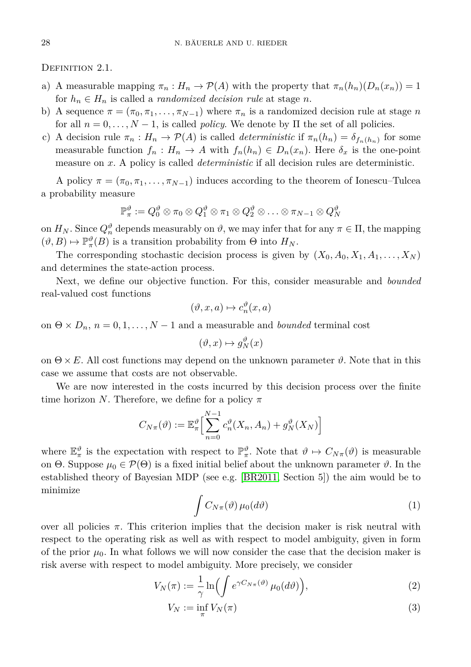DEFINITION 2.1.

- a) A measurable mapping  $\pi_n : H_n \to \mathcal{P}(A)$  with the property that  $\pi_n(h_n)(D_n(x_n)) = 1$ for  $h_n \in H_n$  is called a *randomized decision rule* at stage *n*.
- b) A sequence  $\pi = (\pi_0, \pi_1, \dots, \pi_{N-1})$  where  $\pi_n$  is a randomized decision rule at stage *n* for all  $n = 0, \ldots, N - 1$ , is called *policy*. We denote by  $\Pi$  the set of all policies.
- c) A decision rule  $\pi_n : H_n \to \mathcal{P}(A)$  is called *deterministic* if  $\pi_n(h_n) = \delta_{f_n(h_n)}$  for some measurable function  $f_n: H_n \to A$  with  $f_n(h_n) \in D_n(x_n)$ . Here  $\delta_x$  is the one-point measure on *x*. A policy is called *deterministic* if all decision rules are deterministic.

A policy  $\pi = (\pi_0, \pi_1, \dots, \pi_{N-1})$  induces according to the theorem of Ionescu–Tulcea a probability measure

$$
\mathbb{P}_{\pi}^{\vartheta}:=Q_0^{\vartheta}\otimes \pi_0\otimes Q_1^{\vartheta}\otimes \pi_1\otimes Q_2^{\vartheta}\otimes \ldots \otimes \pi_{N-1}\otimes Q_N^{\vartheta}
$$

on  $H_N$ . Since  $Q_n^{\vartheta}$  depends measurably on  $\vartheta$ , we may infer that for any  $\pi \in \Pi$ , the mapping  $(\vartheta, B) \mapsto \mathbb{P}_{\pi}^{\vartheta}(B)$  is a transition probability from  $\Theta$  into  $H_N$ .

The corresponding stochastic decision process is given by  $(X_0, A_0, X_1, A_1, \ldots, X_N)$ and determines the state-action process.

Next, we define our objective function. For this, consider measurable and *bounded* real-valued cost functions

$$
(\vartheta, x, a) \mapsto c_n^{\vartheta}(x, a)
$$

on  $\Theta \times D_n$ ,  $n = 0, 1, ..., N - 1$  and a measurable and *bounded* terminal cost

$$
(\vartheta,x)\mapsto g_N^{\vartheta}(x)
$$

on  $\Theta \times E$ . All cost functions may depend on the unknown parameter  $\vartheta$ . Note that in this case we assume that costs are not observable.

We are now interested in the costs incurred by this decision process over the finite time horizon *N*. Therefore, we define for a policy *π*

$$
C_{N\pi}(\vartheta) := \mathbb{E}_{\pi}^{\vartheta} \Big[ \sum_{n=0}^{N-1} c_n^{\vartheta} (X_n, A_n) + g_N^{\vartheta} (X_N) \Big]
$$

<span id="page-3-0"></span>where  $\mathbb{E}_{\pi}^{\vartheta}$  is the expectation with respect to  $\mathbb{P}_{\pi}^{\vartheta}$ . Note that  $\vartheta \mapsto C_{N_{\pi}}(\vartheta)$  is measurable on  $\Theta$ . Suppose  $\mu_0 \in \mathcal{P}(\Theta)$  is a fixed initial belief about the unknown parameter  $\vartheta$ . In the established theory of Bayesian MDP (see e.g. [\[BR2011,](#page-13-1) Section 5]) the aim would be to minimize

<span id="page-3-2"></span><span id="page-3-1"></span>
$$
\int C_{N\pi}(\vartheta)\,\mu_0(d\vartheta)\tag{1}
$$

over all policies  $π$ . This criterion implies that the decision maker is risk neutral with respect to the operating risk as well as with respect to model ambiguity, given in form of the prior  $\mu_0$ . In what follows we will now consider the case that the decision maker is risk averse with respect to model ambiguity. More precisely, we consider

$$
V_N(\pi) := \frac{1}{\gamma} \ln \left( \int e^{\gamma C_{N\pi}(\vartheta)} \mu_0(d\vartheta) \right),\tag{2}
$$

$$
V_N := \inf_{\pi} V_N(\pi) \tag{3}
$$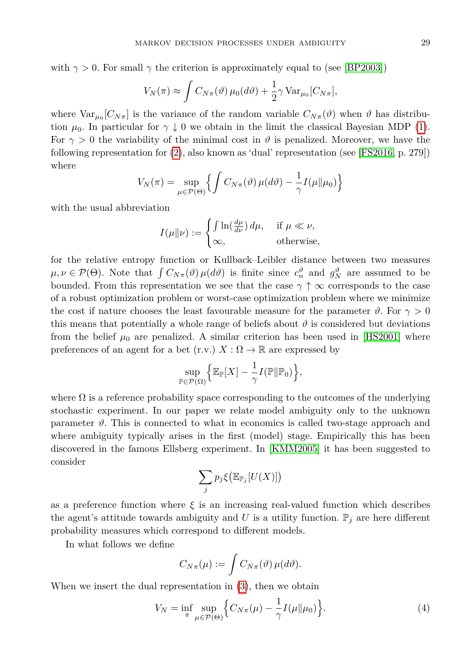with  $\gamma > 0$ . For small  $\gamma$  the criterion is approximately equal to (see [\[BP2003\]](#page-14-12))

$$
V_N(\pi) \approx \int C_{N\pi}(\vartheta) \,\mu_0(d\vartheta) + \frac{1}{2} \gamma \, \text{Var}_{\mu_0}[C_{N\pi}],
$$

where  $Var_{\mu_0}[C_{N\pi}]$  is the variance of the random variable  $C_{N\pi}(\vartheta)$  when  $\vartheta$  has distribution  $\mu_0$ . In particular for  $\gamma \downarrow 0$  we obtain in the limit the classical Bayesian MDP [\(1\)](#page-3-0). For  $\gamma > 0$  the variability of the minimal cost in  $\vartheta$  is penalized. Moreover, we have the following representation for [\(2\)](#page-3-1), also known as 'dual' representation (see [\[FS2016,](#page-14-13) p. 279]) where

$$
V_N(\pi) = \sup_{\mu \in \mathcal{P}(\Theta)} \left\{ \int C_{N\pi}(\vartheta) \, \mu(d\vartheta) - \frac{1}{\gamma} I(\mu \| \mu_0) \right\}
$$

with the usual abbreviation

$$
I(\mu \| \nu) := \begin{cases} \int \ln(\frac{d\mu}{d\nu}) \, d\mu, & \text{if } \mu \ll \nu, \\ \infty, & \text{otherwise,} \end{cases}
$$

for the relative entropy function or Kullback–Leibler distance between two measures  $\mu, \nu \in \mathcal{P}(\Theta)$ . Note that  $\int C_{N_{\pi}}(\vartheta) \mu(d\vartheta)$  is finite since  $c_n^{\vartheta}$  and  $g_N^{\vartheta}$  are assumed to be bounded. From this representation we see that the case  $\gamma \uparrow \infty$  corresponds to the case of a robust optimization problem or worst-case optimization problem where we minimize the cost if nature chooses the least favourable measure for the parameter  $\vartheta$ . For  $\gamma > 0$ this means that potentially a whole range of beliefs about  $\vartheta$  is considered but deviations from the belief  $\mu_0$  are penalized. A similar criterion has been used in [\[HS2001\]](#page-14-1) where preferences of an agent for a bet  $(r.v.) X : \Omega \to \mathbb{R}$  are expressed by

$$
\sup_{\mathbb{P}\in\mathcal{P}(\Omega)}\Bigl\{\mathbb{E}_{\mathbb{P}}[X]-\frac{1}{\gamma}I(\mathbb{P}\|\mathbb{P}_0)\Bigr\},
$$

where  $\Omega$  is a reference probability space corresponding to the outcomes of the underlying stochastic experiment. In our paper we relate model ambiguity only to the unknown parameter  $\vartheta$ . This is connected to what in economics is called two-stage approach and where ambiguity typically arises in the first (model) stage. Empirically this has been discovered in the famous Ellsberg experiment. In [\[KMM2005\]](#page-14-4) it has been suggested to consider

$$
\sum_j p_j \xi \big( \mathbb{E}_{\mathbb{P}_j} [U(X)] \big)
$$

as a preference function where  $\xi$  is an increasing real-valued function which describes the agent's attitude towards ambiguity and U is a utility function.  $\mathbb{P}_j$  are here different probability measures which correspond to different models.

In what follows we define

<span id="page-4-0"></span>
$$
C_{N\pi}(\mu) := \int C_{N\pi}(\vartheta) \,\mu(d\vartheta).
$$

When we insert the dual representation in [\(3\)](#page-3-2), then we obtain

$$
V_N = \inf_{\pi} \sup_{\mu \in \mathcal{P}(\Theta)} \left\{ C_{N\pi}(\mu) - \frac{1}{\gamma} I(\mu \| \mu_0) \right\}.
$$
 (4)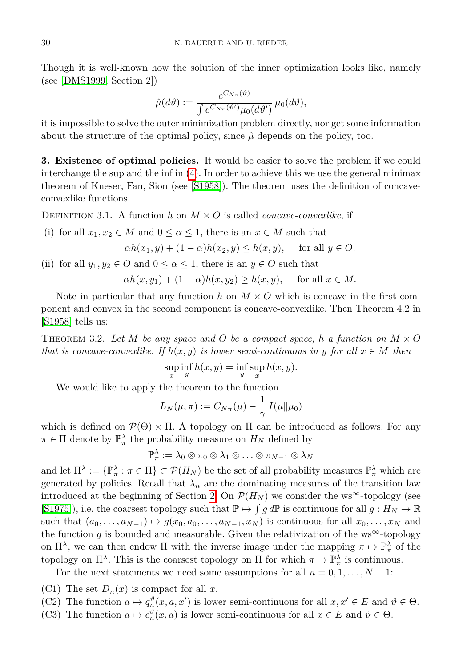Though it is well-known how the solution of the inner optimization looks like, namely (see [\[DMS1999,](#page-14-14) Section 2])

$$
\hat{\mu}(d\vartheta) := \frac{e^{C_{N\pi}(\vartheta)}}{\int e^{C_{N\pi}(\vartheta')} \mu_0(d\vartheta')} \mu_0(d\vartheta),
$$

it is impossible to solve the outer minimization problem directly, nor get some information about the structure of the optimal policy, since  $\hat{\mu}$  depends on the policy, too.

<span id="page-5-0"></span>**3. Existence of optimal policies.** It would be easier to solve the problem if we could interchange the sup and the inf in [\(4\)](#page-4-0). In order to achieve this we use the general minimax theorem of Kneser, Fan, Sion (see [\[S1958\]](#page-14-9)). The theorem uses the definition of concaveconvexlike functions.

DEFINITION 3.1. A function *h* on  $M \times O$  is called *concave-convexlike*, if

(i) for all  $x_1, x_2 \in M$  and  $0 \le \alpha \le 1$ , there is an  $x \in M$  such that

$$
\alpha h(x_1, y) + (1 - \alpha)h(x_2, y) \le h(x, y), \quad \text{for all } y \in O.
$$

(ii) for all  $y_1, y_2 \in O$  and  $0 \leq \alpha \leq 1$ , there is an  $y \in O$  such that

$$
\alpha h(x, y_1) + (1 - \alpha)h(x, y_2) \ge h(x, y), \quad \text{ for all } x \in M.
$$

Note in particular that any function  $h$  on  $M \times O$  which is concave in the first component and convex in the second component is concave-convexlike. Then Theorem 4.2 in [\[S1958\]](#page-14-9) tells us:

<span id="page-5-1"></span>THEOREM 3.2. Let M be any space and O be a compact space, h a function on  $M \times O$ *that is concave-convexlike. If*  $h(x, y)$  *is lower semi-continuous in y for all*  $x \in M$  *then* 

$$
\sup_x \inf_y h(x,y) = \inf_y \sup_x h(x,y).
$$

We would like to apply the theorem to the function

$$
L_N(\mu,\pi) := C_{N\pi}(\mu) - \frac{1}{\gamma} I(\mu\|\mu_0)
$$

which is defined on  $\mathcal{P}(\Theta) \times \Pi$ . A topology on  $\Pi$  can be introduced as follows: For any  $\pi \in \Pi$  denote by  $\mathbb{P}_\pi^{\lambda}$  the probability measure on  $H_N$  defined by

$$
\mathbb{P}_\pi^\lambda:=\lambda_0\otimes\pi_0\otimes\lambda_1\otimes\ldots\otimes\pi_{N-1}\otimes\lambda_N
$$

and let  $\Pi^{\lambda} := \{ \mathbb{P}_{\pi}^{\lambda} : \pi \in \Pi \} \subset \mathcal{P}(H_N)$  be the set of all probability measures  $\mathbb{P}_{\pi}^{\lambda}$  which are generated by policies. Recall that  $\lambda_n$  are the dominating measures of the transition law introduced at the beginning of Section [2.](#page-2-0) On  $\mathcal{P}(H_N)$  we consider the ws<sup>∞</sup>-topology (see [\[S1975\]](#page-14-15)), i.e. the coarsest topology such that  $\mathbb{P} \mapsto \int g d\mathbb{P}$  is continuous for all  $g: H_N \to \mathbb{R}$ such that  $(a_0, \ldots, a_{N-1}) \mapsto g(x_0, a_0, \ldots, a_{N-1}, x_N)$  is continuous for all  $x_0, \ldots, x_N$  and the function  $g$  is bounded and measurable. Given the relativization of the ws<sup>∞</sup>-topology on  $\Pi^{\lambda}$ , we can then endow  $\Pi$  with the inverse image under the mapping  $\pi \mapsto \mathbb{P}^{\lambda}_{\pi}$  of the topology on  $\Pi^{\lambda}$ . This is the coarsest topology on  $\Pi$  for which  $\pi \mapsto \mathbb{P}^{\lambda}_{\pi}$  is continuous.

For the next statements we need some assumptions for all  $n = 0, 1, \ldots, N - 1$ :

- (C1) The set  $D_n(x)$  is compact for all x.
- (C2) The function  $a \mapsto q_n^{\vartheta}(x, a, x')$  is lower semi-continuous for all  $x, x' \in E$  and  $\vartheta \in \Theta$ .
- (C3) The function  $a \mapsto c_n^{\vartheta}(x, a)$  is lower semi-continuous for all  $x \in E$  and  $\vartheta \in \Theta$ .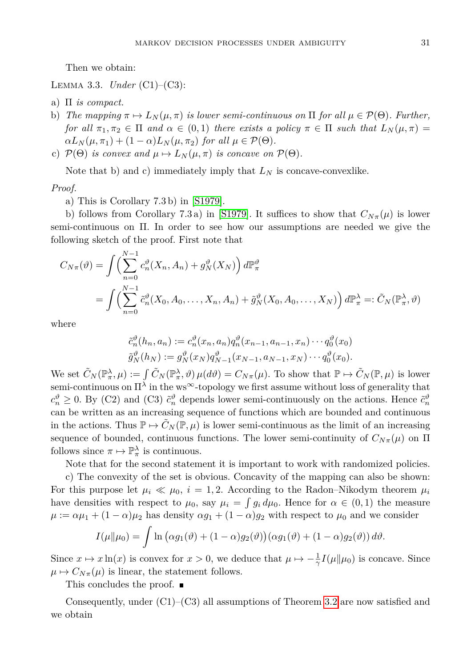Then we obtain:

<span id="page-6-0"></span>Lemma 3.3. *Under* (C1)–(C3):

- a) Π *is compact.*
- b) *The mapping*  $\pi \mapsto L_N(\mu, \pi)$  *is lower semi-continuous on*  $\Pi$  *for all*  $\mu \in \mathcal{P}(\Theta)$ *. Further, for all*  $\pi_1, \pi_2 \in \Pi$  *and*  $\alpha \in (0,1)$  *there exists a policy*  $\pi \in \Pi$  *such that*  $L_N(\mu, \pi) =$  $\alpha L_N(\mu, \pi_1) + (1 - \alpha)L_N(\mu, \pi_2)$  *for all*  $\mu \in \mathcal{P}(\Theta)$ *.*
- c)  $\mathcal{P}(\Theta)$  *is convex and*  $\mu \mapsto L_N(\mu, \pi)$  *is concave on*  $\mathcal{P}(\Theta)$ *.*

Note that b) and c) immediately imply that  $L_N$  is concave-convexlike.

## *Proof.*

a) This is Corollary 7.3 b) in [\[S1979\]](#page-14-10).

b) follows from Corollary 7.3 a) in [\[S1979\]](#page-14-10). It suffices to show that  $C_{N\pi}(\mu)$  is lower semi-continuous on Π. In order to see how our assumptions are needed we give the following sketch of the proof. First note that

$$
C_{N\pi}(\vartheta) = \int \left( \sum_{n=0}^{N-1} c_n^{\vartheta} (X_n, A_n) + g_N^{\vartheta} (X_N) \right) d\mathbb{P}_{\pi}^{\vartheta}
$$
  
= 
$$
\int \left( \sum_{n=0}^{N-1} \tilde{c}_n^{\vartheta} (X_0, A_0, \dots, X_n, A_n) + \tilde{g}_N^{\vartheta} (X_0, A_0, \dots, X_N) \right) d\mathbb{P}_{\pi}^{\lambda} =: \tilde{C}_N(\mathbb{P}_{\pi}^{\lambda}, \vartheta)
$$

where

$$
\tilde{c}_n^{\vartheta}(h_n, a_n) := c_n^{\vartheta}(x_n, a_n) q_n^{\vartheta}(x_{n-1}, a_{n-1}, x_n) \cdots q_0^{\vartheta}(x_0)
$$
  

$$
\tilde{g}_N^{\vartheta}(h_N) := g_N^{\vartheta}(x_N) q_{N-1}^{\vartheta}(x_{N-1}, a_{N-1}, x_N) \cdots q_0^{\vartheta}(x_0).
$$

We set  $\tilde{C}_N(\mathbb{P}_\pi^{\lambda}, \mu) := \int \tilde{C}_N(\mathbb{P}_\pi^{\lambda}, \vartheta) \mu(d\vartheta) = C_{N\pi}(\mu)$ . To show that  $\mathbb{P} \mapsto \tilde{C}_N(\mathbb{P}, \mu)$  is lower semi-continuous on  $\Pi^{\lambda}$  in the ws<sup>∞</sup>-topology we first assume without loss of generality that  $c_n^{\vartheta} \geq 0$ . By (C2) and (C3)  $\tilde{c}_n^{\vartheta}$  depends lower semi-continuously on the actions. Hence  $\tilde{c}_n^{\vartheta}$ can be written as an increasing sequence of functions which are bounded and continuous in the actions. Thus  $\mathbb{P} \to \tilde{C}_N(\mathbb{P}, \mu)$  is lower semi-continuous as the limit of an increasing sequence of bounded, continuous functions. The lower semi-continuity of  $C_{N_{\pi}}(\mu)$  on  $\Pi$ follows since  $\pi \mapsto \mathbb{P}^{\lambda}_{\pi}$  is continuous.

Note that for the second statement it is important to work with randomized policies.

c) The convexity of the set is obvious. Concavity of the mapping can also be shown: For this purpose let  $\mu_i \ll \mu_0$ ,  $i = 1, 2$ . According to the Radon–Nikodym theorem  $\mu_i$ have densities with respect to  $\mu_0$ , say  $\mu_i = \int g_i d\mu_0$ . Hence for  $\alpha \in (0,1)$  the measure  $\mu := \alpha \mu_1 + (1 - \alpha)\mu_2$  has density  $\alpha g_1 + (1 - \alpha)g_2$  with respect to  $\mu_0$  and we consider

$$
I(\mu||\mu_0) = \int \ln \big( \alpha g_1(\vartheta) + (1-\alpha) g_2(\vartheta) \big) (\alpha g_1(\vartheta) + (1-\alpha) g_2(\vartheta)) d\vartheta.
$$

Since  $x \mapsto x \ln(x)$  is convex for  $x > 0$ , we deduce that  $\mu \mapsto -\frac{1}{\gamma} I(\mu \| \mu_0)$  is concave. Since  $\mu \mapsto C_{N_{\pi}}(\mu)$  is linear, the statement follows.

This concludes the proof. ■

<span id="page-6-1"></span>Consequently, under  $(C1)$ – $(C3)$  all assumptions of Theorem [3.2](#page-5-1) are now satisfied and we obtain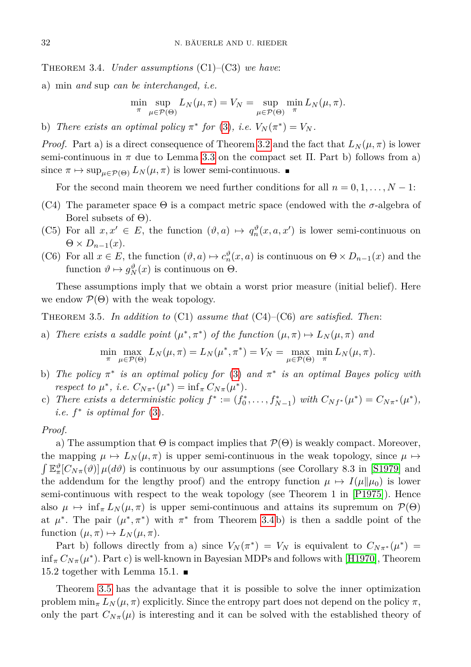Theorem 3.4. *Under assumptions* (C1)–(C3) *we have*:

a) min *and* sup *can be interchanged, i.e.*

$$
\min_{\pi} \sup_{\mu \in \mathcal{P}(\Theta)} L_N(\mu, \pi) = V_N = \sup_{\mu \in \mathcal{P}(\Theta)} \min_{\pi} L_N(\mu, \pi).
$$

b) *There exists an optimal policy*  $\pi^*$  *for* [\(3\)](#page-3-2), *i.e.*  $V_N(\pi^*) = V_N$ .

*Proof.* Part a) is a direct consequence of Theorem [3.2](#page-5-1) and the fact that  $L_N(\mu, \pi)$  is lower semi-continuous in  $\pi$  due to Lemma [3.3](#page-6-0) on the compact set  $\Pi$ . Part b) follows from a) since  $\pi \mapsto \sup_{\mu \in \mathcal{P}(\Theta)} L_N(\mu, \pi)$  is lower semi-continuous.

For the second main theorem we need further conditions for all  $n = 0, 1, \ldots, N - 1$ :

- (C4) The parameter space  $\Theta$  is a compact metric space (endowed with the  $\sigma$ -algebra of Borel subsets of  $\Theta$ ).
- (C5) For all  $x, x' \in E$ , the function  $(\vartheta, a) \mapsto q_n^{\vartheta}(x, a, x')$  is lower semi-continuous on  $\Theta \times D_{n-1}(x)$ .
- (C6) For all  $x \in E$ , the function  $(\vartheta, a) \mapsto c_n^{\vartheta}(x, a)$  is continuous on  $\Theta \times D_{n-1}(x)$  and the function  $\vartheta \mapsto g_N^{\vartheta}(x)$  is continuous on  $\Theta$ .

These assumptions imply that we obtain a worst prior measure (initial belief). Here we endow  $\mathcal{P}(\Theta)$  with the weak topology.

<span id="page-7-0"></span>Theorem 3.5. *In addition to* (C1) *assume that* (C4)–(C6) *are satisfied. Then*:

a) *There exists a saddle point*  $(\mu^*, \pi^*)$  *of the function*  $(\mu, \pi) \mapsto L_N(\mu, \pi)$  *and* 

$$
\min_{\pi} \max_{\mu \in \mathcal{P}(\Theta)} L_N(\mu, \pi) = L_N(\mu^*, \pi^*) = V_N = \max_{\mu \in \mathcal{P}(\Theta)} \min_{\pi} L_N(\mu, \pi).
$$

- b) *The policy*  $\pi^*$  *is an optimal policy for* [\(3\)](#page-3-2) *and*  $\pi^*$  *is an optimal Bayes policy with respect to*  $\mu^*$ , *i.e.*  $C_{N\pi^*}(\mu^*) = \inf_{\pi} C_{N\pi}(\mu^*)$ .
- c) *There exists a deterministic policy*  $f^* := (f_0^*, \ldots, f_{N-1}^*)$  *with*  $C_{Nf^*}(\mu^*) = C_{N\pi^*}(\mu^*)$ , *i.e.*  $f^*$  *is optimal for* [\(3\)](#page-3-2).

*Proof.*

a) The assumption that  $\Theta$  is compact implies that  $\mathcal{P}(\Theta)$  is weakly compact. Moreover, the mapping  $\mu \mapsto L_N(\mu, \pi)$  is upper semi-continuous in the weak topology, since  $\mu \mapsto$  $\int \mathbb{E}_{\pi}^{\vartheta}[C_{N\pi}(\vartheta)] \mu(d\vartheta)$  is continuous by our assumptions (see Corollary 8.3 in [\[S1979\]](#page-14-10) and the addendum for the lengthy proof) and the entropy function  $\mu \mapsto I(\mu||\mu_0)$  is lower semi-continuous with respect to the weak topology (see Theorem 1 in [\[P1975\]](#page-14-16)). Hence also  $\mu \mapsto \inf_{\pi} L_N(\mu, \pi)$  is upper semi-continuous and attains its supremum on  $\mathcal{P}(\Theta)$ at  $\mu^*$ . The pair  $(\mu^*, \pi^*)$  with  $\pi^*$  from Theorem [3.4](#page-6-1)b) is then a saddle point of the function  $(\mu, \pi) \mapsto L_N(\mu, \pi)$ .

Part b) follows directly from a) since  $V_N(\pi^*) = V_N$  is equivalent to  $C_{N\pi^*}(\mu^*) =$  $\inf_{\pi} C_{N_{\pi}}(\mu^*)$ . Part c) is well-known in Bayesian MDPs and follows with [\[H1970\]](#page-14-17), Theorem 15.2 together with Lemma 15.1.  $\blacksquare$ 

Theorem [3.5](#page-7-0) has the advantage that it is possible to solve the inner optimization problem  $\min_{\pi} L_N(\mu, \pi)$  explicitly. Since the entropy part does not depend on the policy  $\pi$ , only the part  $C_{N\pi}(\mu)$  is interesting and it can be solved with the established theory of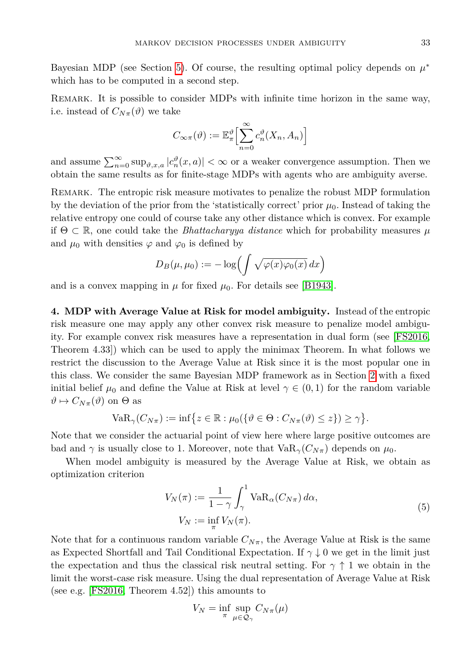Bayesian MDP (see Section [5\)](#page-9-0). Of course, the resulting optimal policy depends on  $\mu^*$ which has to be computed in a second step.

Remark. It is possible to consider MDPs with infinite time horizon in the same way, i.e. instead of  $C_{N_{\pi}}(\vartheta)$  we take

$$
C_{\infty\pi}(\vartheta) := \mathbb{E}_{\pi}^{\vartheta} \Big[ \sum_{n=0}^{\infty} c_n^{\vartheta} (X_n, A_n) \Big]
$$

and assume  $\sum_{n=0}^{\infty} \sup_{\vartheta, x, a} |c_n^{\vartheta}(x, a)| < \infty$  or a weaker convergence assumption. Then we obtain the same results as for finite-stage MDPs with agents who are ambiguity averse.

REMARK. The entropic risk measure motivates to penalize the robust MDP formulation by the deviation of the prior from the 'statistically correct' prior  $\mu_0$ . Instead of taking the relative entropy one could of course take any other distance which is convex. For example if  $\Theta \subset \mathbb{R}$ , one could take the *Bhattacharyya distance* which for probability measures  $\mu$ and  $\mu_0$  with densities  $\varphi$  and  $\varphi_0$  is defined by

$$
D_B(\mu, \mu_0) := -\log \left( \int \sqrt{\varphi(x) \varphi_0(x)} \, dx \right)
$$

and is a convex mapping in  $\mu$  for fixed  $\mu_0$ . For details see [\[B1943\]](#page-14-18).

<span id="page-8-0"></span>**4. MDP with Average Value at Risk for model ambiguity.** Instead of the entropic risk measure one may apply any other convex risk measure to penalize model ambiguity. For example convex risk measures have a representation in dual form (see [\[FS2016,](#page-14-13) Theorem 4.33]) which can be used to apply the minimax Theorem. In what follows we restrict the discussion to the Average Value at Risk since it is the most popular one in this class. We consider the same Bayesian MDP framework as in Section [2](#page-2-0) with a fixed initial belief  $\mu_0$  and define the Value at Risk at level  $\gamma \in (0,1)$  for the random variable  $\vartheta \mapsto C_{N_{\pi}}(\vartheta)$  on  $\Theta$  as

$$
\text{VaR}_{\gamma}(C_{N\pi}) := \inf \{ z \in \mathbb{R} : \mu_0(\{\vartheta \in \Theta : C_{N\pi}(\vartheta) \le z\}) \ge \gamma \}.
$$

Note that we consider the actuarial point of view here where large positive outcomes are bad and  $\gamma$  is usually close to 1. Moreover, note that  $VaR_{\gamma}(C_{N_{\pi}})$  depends on  $\mu_0$ .

When model ambiguity is measured by the Average Value at Risk, we obtain as optimization criterion

<span id="page-8-1"></span>
$$
V_N(\pi) := \frac{1}{1 - \gamma} \int_{\gamma}^{1} \text{VaR}_{\alpha}(C_{N\pi}) d\alpha,
$$
  
\n
$$
V_N := \inf_{\pi} V_N(\pi).
$$
\n(5)

Note that for a continuous random variable  $C_{N_{\pi}}$ , the Average Value at Risk is the same as Expected Shortfall and Tail Conditional Expectation. If  $\gamma \downarrow 0$  we get in the limit just the expectation and thus the classical risk neutral setting. For  $\gamma \uparrow 1$  we obtain in the limit the worst-case risk measure. Using the dual representation of Average Value at Risk (see e.g. [\[FS2016,](#page-14-13) Theorem 4.52]) this amounts to

$$
V_N = \inf_{\pi} \sup_{\mu \in \mathcal{Q}_{\gamma}} C_{N\pi}(\mu)
$$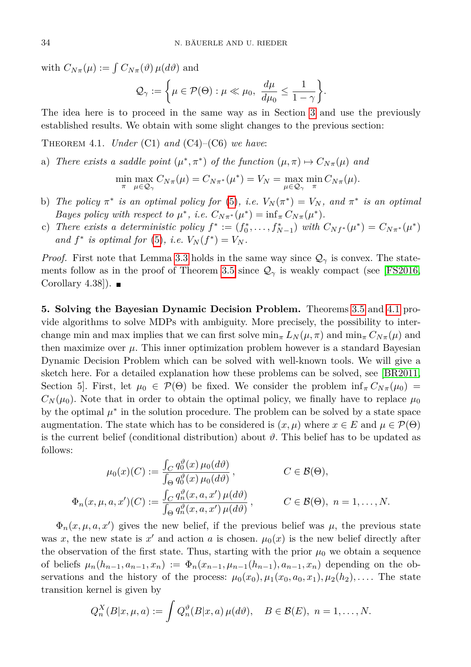with  $C_{N\pi}(\mu) := \int C_{N\pi}(\vartheta) \mu(d\vartheta)$  and

$$
\mathcal{Q}_{\gamma} := \left\{ \mu \in \mathcal{P}(\Theta) : \mu \ll \mu_0, \ \frac{d\mu}{d\mu_0} \leq \frac{1}{1 - \gamma} \right\}.
$$

The idea here is to proceed in the same way as in Section [3](#page-5-0) and use the previously established results. We obtain with some slight changes to the previous section:

<span id="page-9-1"></span>Theorem 4.1. *Under* (C1) *and* (C4)–(C6) *we have*:

a) *There exists a saddle point*  $(\mu^*, \pi^*)$  *of the function*  $(\mu, \pi) \mapsto C_{N\pi}(\mu)$  *and* 

$$
\min_{\pi} \max_{\mu \in \mathcal{Q}_{\gamma}} C_{N\pi}(\mu) = C_{N\pi^*}(\mu^*) = V_N = \max_{\mu \in \mathcal{Q}_{\gamma}} \min_{\pi} C_{N\pi}(\mu).
$$

- b) *The policy*  $\pi^*$  *is an optimal policy for* [\(5\)](#page-8-1)*, i.e.*  $V_N(\pi^*) = V_N$ *, and*  $\pi^*$  *is an optimal Bayes policy with respect to*  $\mu^*$ , *i.e.*  $C_{N\pi^*}(\mu^*) = \inf_{\pi} C_{N\pi}(\mu^*)$ .
- c) *There exists a deterministic policy*  $f^* := (f_0^*, \ldots, f_{N-1}^*)$  *with*  $C_{Nf^*}(\mu^*) = C_{N\pi^*}(\mu^*)$ *and*  $f^*$  *is optimal for* [\(5\)](#page-8-1)*, i.e.*  $V_N(f^*) = V_N$ .

*Proof.* First note that Lemma [3.3](#page-6-0) holds in the same way since  $\mathcal{Q}_{\gamma}$  is convex. The state-ments follow as in the proof of Theorem [3.5](#page-7-0) since  $\mathcal{Q}_{\gamma}$  is weakly compact (see [\[FS2016,](#page-14-13) Corollary 4.38..

<span id="page-9-0"></span>**5. Solving the Bayesian Dynamic Decision Problem.** Theorems [3.5](#page-7-0) and [4.1](#page-9-1) provide algorithms to solve MDPs with ambiguity. More precisely, the possibility to interchange min and max implies that we can first solve  $\min_{\pi} L_N(\mu, \pi)$  and  $\min_{\pi} C_{N\pi}(\mu)$  and then maximize over  $\mu$ . This inner optimization problem however is a standard Bayesian Dynamic Decision Problem which can be solved with well-known tools. We will give a sketch here. For a detailed explanation how these problems can be solved, see [\[BR2011,](#page-13-1) Section 5]. First, let  $\mu_0 \in \mathcal{P}(\Theta)$  be fixed. We consider the problem  $\inf_{\pi} C_{N_{\pi}}(\mu_0)$  =  $C_N(\mu_0)$ . Note that in order to obtain the optimal policy, we finally have to replace  $\mu_0$ by the optimal  $\mu^*$  in the solution procedure. The problem can be solved by a state space augmentation. The state which has to be considered is  $(x, \mu)$  where  $x \in E$  and  $\mu \in \mathcal{P}(\Theta)$ is the current belief (conditional distribution) about  $\vartheta$ . This belief has to be updated as follows:

$$
\mu_0(x)(C) := \frac{\int_C q_0^{\vartheta}(x) \mu_0(d\vartheta)}{\int_{\Theta} q_0^{\vartheta}(x) \mu_0(d\vartheta)}, \qquad C \in \mathcal{B}(\Theta),
$$
  

$$
\Phi_n(x, \mu, a, x')(C) := \frac{\int_C q_n^{\vartheta}(x, a, x') \mu(d\vartheta)}{\int_{\Theta} q_n^{\vartheta}(x, a, x') \mu(d\vartheta)}, \qquad C \in \mathcal{B}(\Theta), n = 1, ..., N.
$$

 $\Phi_n(x,\mu,a,x')$  gives the new belief, if the previous belief was  $\mu$ , the previous state was *x*, the new state is  $x'$  and action *a* is chosen.  $\mu_0(x)$  is the new belief directly after the observation of the first state. Thus, starting with the prior  $\mu_0$  we obtain a sequence of beliefs  $\mu_n(h_{n-1}, a_{n-1}, x_n) := \Phi_n(x_{n-1}, \mu_{n-1}(h_{n-1}), a_{n-1}, x_n)$  depending on the observations and the history of the process:  $\mu_0(x_0), \mu_1(x_0, a_0, x_1), \mu_2(h_2), \ldots$ . The state transition kernel is given by

$$
Q_n^X(B|x,\mu,a):=\int Q_n^{\vartheta}(B|x,a)\,\mu(d\vartheta),\quad B\in\mathcal{B}(E),\ n=1,\ldots,N.
$$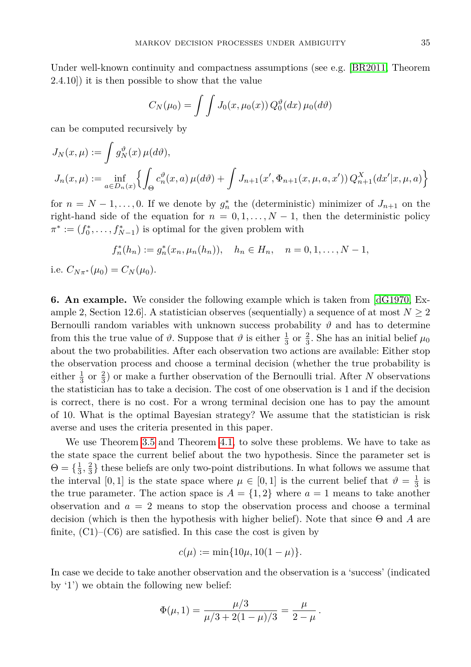Under well-known continuity and compactness assumptions (see e.g. [\[BR2011,](#page-13-1) Theorem 2.4.10]) it is then possible to show that the value

$$
C_N(\mu_0) = \int \int J_0(x, \mu_0(x)) Q_0^{\vartheta}(dx) \mu_0(d\vartheta)
$$

can be computed recursively by

$$
J_N(x,\mu) := \int g_N^{\vartheta}(x) \,\mu(d\vartheta),
$$
  
\n
$$
J_n(x,\mu) := \inf_{a \in D_n(x)} \left\{ \int_{\Theta} c_n^{\vartheta}(x,a) \,\mu(d\vartheta) + \int J_{n+1}(x', \Phi_{n+1}(x,\mu,a,x')) \, Q_{n+1}^X(dx'|x,\mu,a) \right\}
$$

for  $n = N - 1, \ldots, 0$ . If we denote by  $g_n^*$  the (deterministic) minimizer of  $J_{n+1}$  on the right-hand side of the equation for  $n = 0, 1, \ldots, N - 1$ , then the deterministic policy  $\pi^* := (f_0^*, \ldots, f_{N-1}^*)$  is optimal for the given problem with

$$
f_n^*(h_n) := g_n^*(x_n, \mu_n(h_n)), \quad h_n \in H_n, \quad n = 0, 1, \dots, N-1,
$$

i.e.  $C_{N\pi^*}(\mu_0) = C_N(\mu_0)$ .

**6. An example.** We consider the following example which is taken from [\[dG1970,](#page-14-19) Example 2, Section 12.6. A statistician observes (sequentially) a sequence of at most  $N \geq 2$ Bernoulli random variables with unknown success probability  $\vartheta$  and has to determine from this the true value of  $\vartheta$ . Suppose that  $\vartheta$  is either  $\frac{1}{3}$  or  $\frac{2}{3}$ . She has an initial belief  $\mu_0$ about the two probabilities. After each observation two actions are available: Either stop the observation process and choose a terminal decision (whether the true probability is either  $\frac{1}{3}$  or  $\frac{2}{3}$ ) or make a further observation of the Bernoulli trial. After *N* observations the statistician has to take a decision. The cost of one observation is 1 and if the decision is correct, there is no cost. For a wrong terminal decision one has to pay the amount of 10. What is the optimal Bayesian strategy? We assume that the statistician is risk averse and uses the criteria presented in this paper.

We use Theorem [3.5](#page-7-0) and Theorem [4.1,](#page-9-1) to solve these problems. We have to take as the state space the current belief about the two hypothesis. Since the parameter set is  $\Theta = \{\frac{1}{3}, \frac{2}{3}\}\$  these beliefs are only two-point distributions. In what follows we assume that the interval [0, 1] is the state space where  $\mu \in [0,1]$  is the current belief that  $\vartheta = \frac{1}{3}$  is the true parameter. The action space is  $A = \{1, 2\}$  where  $a = 1$  means to take another observation and  $a = 2$  means to stop the observation process and choose a terminal decision (which is then the hypothesis with higher belief). Note that since Θ and *A* are finite,  $(C1)$ – $(C6)$  are satisfied. In this case the cost is given by

$$
c(\mu) := \min\{10\mu, 10(1-\mu)\}.
$$

In case we decide to take another observation and the observation is a 'success' (indicated by '1') we obtain the following new belief:

$$
\Phi(\mu, 1) = \frac{\mu/3}{\mu/3 + 2(1 - \mu)/3} = \frac{\mu}{2 - \mu}.
$$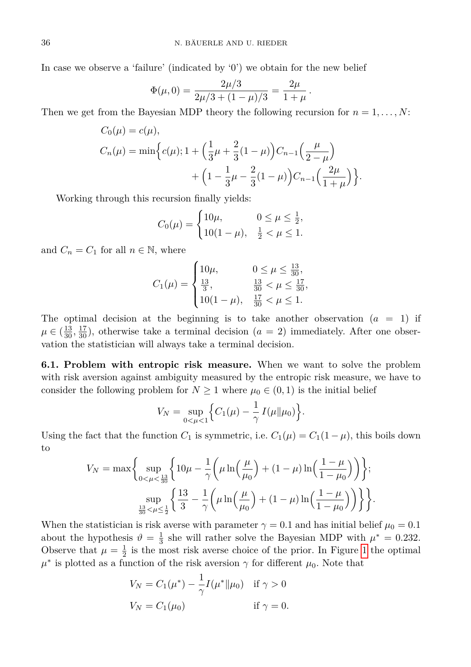In case we observe a 'failure' (indicated by '0') we obtain for the new belief

$$
\Phi(\mu,0) = \frac{2\mu/3}{2\mu/3 + (1-\mu)/3} = \frac{2\mu}{1+\mu}.
$$

Then we get from the Bayesian MDP theory the following recursion for  $n = 1, \ldots, N$ :

$$
C_0(\mu) = c(\mu),
$$
  
\n
$$
C_n(\mu) = \min \Big\{ c(\mu); 1 + \Big( \frac{1}{3}\mu + \frac{2}{3}(1-\mu) \Big) C_{n-1} \Big( \frac{\mu}{2-\mu} \Big) + \Big( 1 - \frac{1}{3}\mu - \frac{2}{3}(1-\mu) \Big) C_{n-1} \Big( \frac{2\mu}{1+\mu} \Big) \Big\}.
$$

Working through this recursion finally yields:

$$
C_0(\mu) = \begin{cases} 10\mu, & 0 \le \mu \le \frac{1}{2}, \\ 10(1-\mu), & \frac{1}{2} < \mu \le 1. \end{cases}
$$

and  $C_n = C_1$  for all  $n \in \mathbb{N}$ , where

$$
C_1(\mu) = \begin{cases} 10\mu, & 0 \le \mu \le \frac{13}{30}, \\ \frac{13}{3}, & \frac{13}{30} < \mu \le \frac{17}{30}, \\ 10(1-\mu), & \frac{17}{30} < \mu \le 1. \end{cases}
$$

The optimal decision at the beginning is to take another observation  $(a = 1)$  if  $\mu \in (\frac{13}{30}, \frac{17}{30})$ , otherwise take a terminal decision  $(a = 2)$  immediately. After one observation the statistician will always take a terminal decision.

**6.1. Problem with entropic risk measure.** When we want to solve the problem with risk aversion against ambiguity measured by the entropic risk measure, we have to consider the following problem for  $N \geq 1$  where  $\mu_0 \in (0,1)$  is the initial belief

$$
V_N = \sup_{0 < \mu < 1} \Big\{ C_1(\mu) - \frac{1}{\gamma} I(\mu \| \mu_0) \Big\}.
$$

Using the fact that the function  $C_1$  is symmetric, i.e.  $C_1(\mu) = C_1(1 - \mu)$ , this boils down to

$$
V_N = \max \left\{ \sup_{0 < \mu < \frac{13}{30}} \left\{ 10\mu - \frac{1}{\gamma} \left( \mu \ln \left( \frac{\mu}{\mu_0} \right) + (1 - \mu) \ln \left( \frac{1 - \mu}{1 - \mu_0} \right) \right) \right\};
$$
  

$$
\sup_{\frac{13}{30} < \mu \le \frac{1}{2}} \left\{ \frac{13}{3} - \frac{1}{\gamma} \left( \mu \ln \left( \frac{\mu}{\mu_0} \right) + (1 - \mu) \ln \left( \frac{1 - \mu}{1 - \mu_0} \right) \right) \right\}.
$$

<span id="page-11-0"></span>When the statistician is risk averse with parameter  $\gamma = 0.1$  and has initial belief  $\mu_0 = 0.1$ about the hypothesis  $\vartheta = \frac{1}{3}$  she will rather solve the Bayesian MDP with  $\mu^* = 0.232$ . Observe that  $\mu = \frac{1}{2}$  is the most risk averse choice of the prior. In Figure [1](#page-11-0) the optimal  $\mu^*$  is plotted as a function of the risk aversion  $\gamma$  for different  $\mu_0$ . Note that

$$
V_N = C_1(\mu^*) - \frac{1}{\gamma} I(\mu^* \| \mu_0) \quad \text{if } \gamma > 0
$$
  

$$
V_N = C_1(\mu_0) \qquad \text{if } \gamma = 0.
$$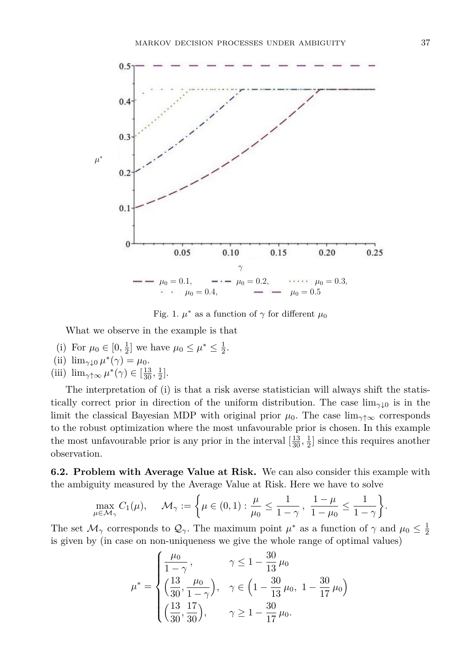

Fig. 1.  $\mu^*$  as a function of  $\gamma$  for different  $\mu_0$ 

What we observe in the example is that

- (i) For  $\mu_0 \in [0, \frac{1}{2}]$  we have  $\mu_0 \le \mu^* \le \frac{1}{2}$ .
- (ii)  $\lim_{\gamma \downarrow 0} \mu^*(\gamma) = \mu_0.$
- (iii)  $\lim_{\gamma \uparrow \infty} \mu^*(\gamma) \in [\frac{13}{30}, \frac{1}{2}].$

The interpretation of (i) is that a risk averse statistician will always shift the statistically correct prior in direction of the uniform distribution. The case  $\lim_{\gamma\downarrow 0}$  is in the limit the classical Bayesian MDP with original prior  $\mu_0$ . The case lim<sub>γ↑∞</sub> corresponds to the robust optimization where the most unfavourable prior is chosen. In this example the most unfavourable prior is any prior in the interval  $\left[\frac{13}{30}, \frac{1}{2}\right]$  since this requires another observation.

**6.2. Problem with Average Value at Risk.** We can also consider this example with the ambiguity measured by the Average Value at Risk. Here we have to solve

$$
\max_{\mu \in \mathcal{M}_{\gamma}} C_1(\mu), \quad \mathcal{M}_{\gamma} := \left\{ \mu \in (0,1) : \frac{\mu}{\mu_0} \le \frac{1}{1-\gamma}, \frac{1-\mu}{1-\mu_0} \le \frac{1}{1-\gamma} \right\}.
$$

The set  $\mathcal{M}_{\gamma}$  corresponds to  $\mathcal{Q}_{\gamma}$ . The maximum point  $\mu^*$  as a function of  $\gamma$  and  $\mu_0 \leq \frac{1}{2}$ is given by (in case on non-uniqueness we give the whole range of optimal values)

$$
\mu^* = \begin{cases} \frac{\mu_0}{1 - \gamma}, & \gamma \le 1 - \frac{30}{13} \mu_0 \\ \left(\frac{13}{30}, \frac{\mu_0}{1 - \gamma}\right), & \gamma \in \left(1 - \frac{30}{13} \mu_0, 1 - \frac{30}{17} \mu_0\right) \\ \left(\frac{13}{30}, \frac{17}{30}\right), & \gamma \ge 1 - \frac{30}{17} \mu_0. \end{cases}
$$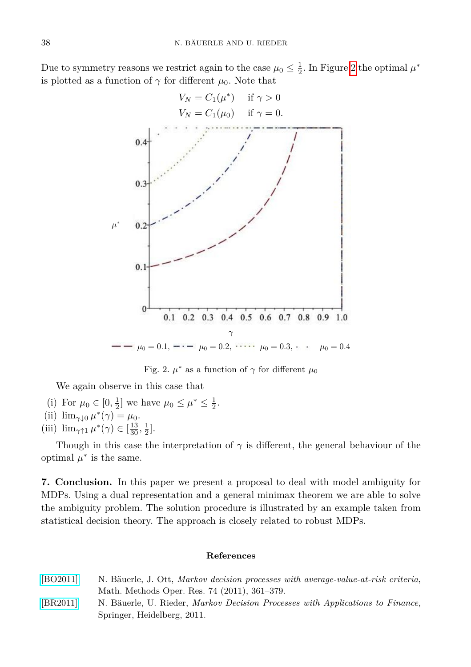<span id="page-13-2"></span>Due to symmetry reasons we restrict again to the case  $\mu_0 \leq \frac{1}{2}$ . In Figure [2](#page-13-2) the optimal  $\mu^*$ is plotted as a function of  $\gamma$  for different  $\mu_0$ . Note that



Fig. 2.  $\mu^*$  as a function of  $\gamma$  for different  $\mu_0$ 

We again observe in this case that

- (i) For  $\mu_0 \in [0, \frac{1}{2}]$  we have  $\mu_0 \le \mu^* \le \frac{1}{2}$ .
- (ii)  $\lim_{\gamma \downarrow 0} \mu^*(\gamma) = \mu_0.$
- (iii)  $\lim_{\gamma \uparrow 1} \mu^*(\gamma) \in \left[\frac{13}{30}, \frac{1}{2}\right]$ .

Though in this case the interpretation of *γ* is different, the general behaviour of the optimal  $\mu^*$  is the same.

**7. Conclusion.** In this paper we present a proposal to deal with model ambiguity for MDPs. Using a dual representation and a general minimax theorem we are able to solve the ambiguity problem. The solution procedure is illustrated by an example taken from statistical decision theory. The approach is closely related to robust MDPs.

## **References**

- <span id="page-13-0"></span>[\[BO2011\]](http://dx.doi.org/10.1007/s00186-011-0367-0) N. Bäuerle, J. Ott, *Markov decision processes with average-value-at-risk criteria*, Math. Methods Oper. Res. 74 (2011), 361–379.
- <span id="page-13-1"></span>[\[BR2011\]](http://dx.doi.org/10.1007/978-3-642-18324-9) N. Bäuerle, U. Rieder, *Markov Decision Processes with Applications to Finance*, Springer, Heidelberg, 2011.